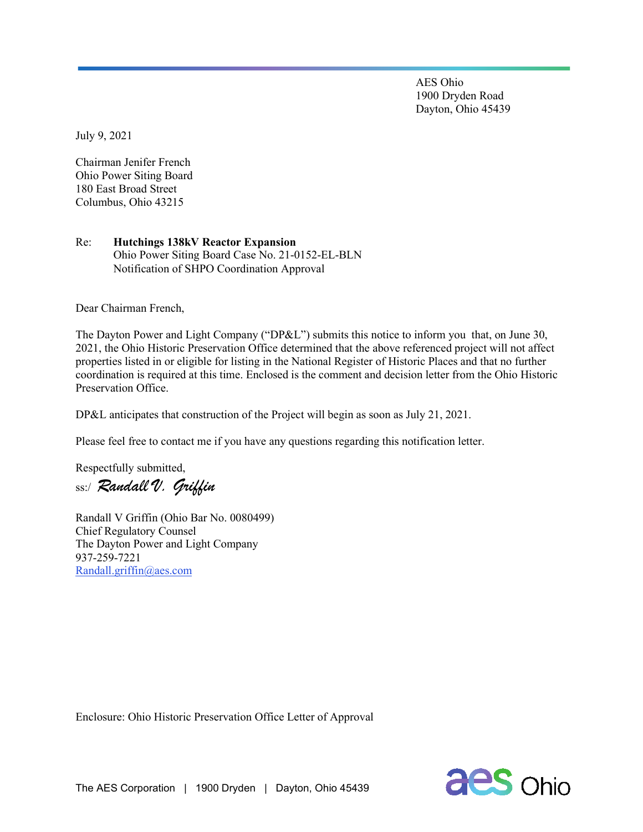AES Ohio 1900 Dryden Road Dayton, Ohio 45439

July 9, 2021

Chairman Jenifer French Ohio Power Siting Board 180 East Broad Street Columbus, Ohio 43215

## Re: **Hutchings 138kV Reactor Expansion** Ohio Power Siting Board Case No. 21-0152-EL-BLN Notification of SHPO Coordination Approval

Dear Chairman French,

The Dayton Power and Light Company ("DP&L") submits this notice to inform you that, on June 30, 2021, the Ohio Historic Preservation Office determined that the above referenced project will not affect properties listed in or eligible for listing in the National Register of Historic Places and that no further coordination is required at this time. Enclosed is the comment and decision letter from the Ohio Historic Preservation Office.

DP&L anticipates that construction of the Project will begin as soon as July 21, 2021.

Please feel free to contact me if you have any questions regarding this notification letter.

Respectfully submitted,

ss:/ *Randall V. Griffin*

Randall V Griffin (Ohio Bar No. 0080499) Chief Regulatory Counsel The Dayton Power and Light Company 937-259-7221 [Randall.griffin@aes.com](mailto:Randall.griffin@aes.com)

Enclosure: Ohio Historic Preservation Office Letter of Approval

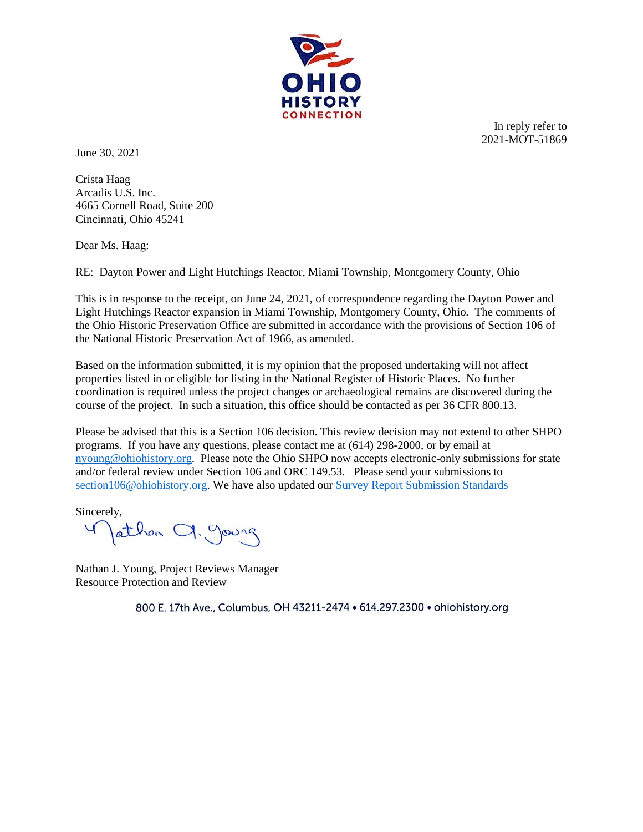

In reply refer to 2021-MOT-51869

June 30, 2021

Crista Haag Arcadis U.S. Inc. 4665 Cornell Road, Suite 200 Cincinnati, Ohio 45241

Dear Ms. Haag:

RE: Dayton Power and Light Hutchings Reactor, Miami Township, Montgomery County, Ohio

This is in response to the receipt, on June 24, 2021, of correspondence regarding the Dayton Power and Light Hutchings Reactor expansion in Miami Township, Montgomery County, Ohio*.* The comments of the Ohio Historic Preservation Office are submitted in accordance with the provisions of Section 106 of the National Historic Preservation Act of 1966, as amended.

Based on the information submitted, it is my opinion that the proposed undertaking will not affect properties listed in or eligible for listing in the National Register of Historic Places. No further coordination is required unless the project changes or archaeological remains are discovered during the course of the project. In such a situation, this office should be contacted as per 36 CFR 800.13.

Please be advised that this is a Section 106 decision. This review decision may not extend to other SHPO programs. If you have any questions, please contact me at (614) 298-2000, or by email at [nyoung@ohiohistory.org.](mailto:nyoung@ohiohistory.org) Please note the Ohio SHPO now accepts electronic-only submissions for state and/or federal review under Section 106 and ORC 149.53. Please send your submissions to [section106@ohiohistory.org.](mailto:section106@ohiohistory.org) We have also updated our [Survey Report Submission Standards](https://www.ohiohistory.org/OHC/media/OHC-Media/Documents/SHPO/Survey/Report-Submission-Standards_10282020_FINAL.PDF)

Sincerely, Jathon Cl. Young

Nathan J. Young, Project Reviews Manager Resource Protection and Review

800 E. 17th Ave., Columbus, OH 43211-2474 . 614.297.2300 . ohiohistory.org